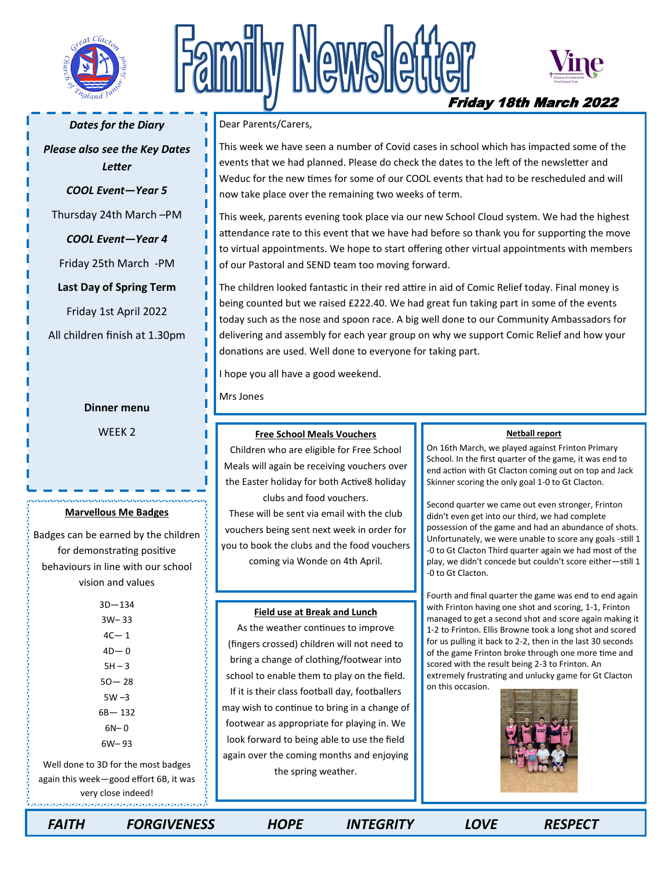

# Newsle



Friday 18th March 2022

#### *Dates for the Diary*

*Please also see the Key Dates Letter*

### *COOL Event—Year 5*

Thursday 24th March –PM

*COOL Event—Year 4*

Friday 25th March -PM

**Last Day of Spring Term** 

Friday 1st April 2022

All children finish at 1.30pm

#### **Dinner menu**

WEEK 2

#### **Marvellous Me Badges**

Badges can be earned by the children for demonstrating positive behaviours in line with our school vision and values

> 3D—134 3W– 33  $4C - 1$  $4D - 0$  $5H - 3$  $50 - 28$  $5W - 3$ 6B— 132  $6N-0$ 6W– 93

Well done to 3D for the most badges again this week—good effort 6B, it was very close indeed!

Dear Parents/Carers,

This week we have seen a number of Covid cases in school which has impacted some of the events that we had planned. Please do check the dates to the left of the newsletter and Weduc for the new times for some of our COOL events that had to be rescheduled and will now take place over the remaining two weeks of term.

This week, parents evening took place via our new School Cloud system. We had the highest attendance rate to this event that we have had before so thank you for supporting the move to virtual appointments. We hope to start offering other virtual appointments with members of our Pastoral and SEND team too moving forward.

The children looked fantastic in their red attire in aid of Comic Relief today. Final money is being counted but we raised £222.40. We had great fun taking part in some of the events today such as the nose and spoon race. A big well done to our Community Ambassadors for delivering and assembly for each year group on why we support Comic Relief and how your donations are used. Well done to everyone for taking part.

I hope you all have a good weekend.

Mrs Jones

#### **Free School Meals Vouchers**

Children who are eligible for Free School Meals will again be receiving vouchers over the Easter holiday for both Active8 holiday clubs and food vouchers.

These will be sent via email with the club vouchers being sent next week in order for you to book the clubs and the food vouchers coming via Wonde on 4th April.

#### **Field use at Break and Lunch**

As the weather continues to improve (fingers crossed) children will not need to bring a change of clothing/footwear into school to enable them to play on the field. If it is their class football day, footballers may wish to continue to bring in a change of footwear as appropriate for playing in. We look forward to being able to use the field again over the coming months and enjoying the spring weather.

#### **Netball report**

On 16th March, we played against Frinton Primary School. In the first quarter of the game, it was end to end action with Gt Clacton coming out on top and Jack Skinner scoring the only goal 1-0 to Gt Clacton.

Second quarter we came out even stronger, Frinton didn't even get into our third, we had complete possession of the game and had an abundance of shots. Unfortunately, we were unable to score any goals -still 1 -0 to Gt Clacton Third quarter again we had most of the play, we didn't concede but couldn't score either—still 1 -0 to Gt Clacton.

Fourth and final quarter the game was end to end again with Frinton having one shot and scoring, 1-1, Frinton managed to get a second shot and score again making it 1-2 to Frinton. Ellis Browne took a long shot and scored for us pulling it back to 2-2, then in the last 30 seconds of the game Frinton broke through one more time and scored with the result being 2-3 to Frinton. An extremely frustrating and unlucky game for Gt Clacton on this occasion.



 *FAITH FORGIVENESS HOPE INTEGRITY LOVE RESPECT*

经有限制的 医特鲁特氏试验检尿糖尿糖尿糖尿糖尿糖尿糖尿糖尿糖尿糖尿糖尿糖尿糖尿糖